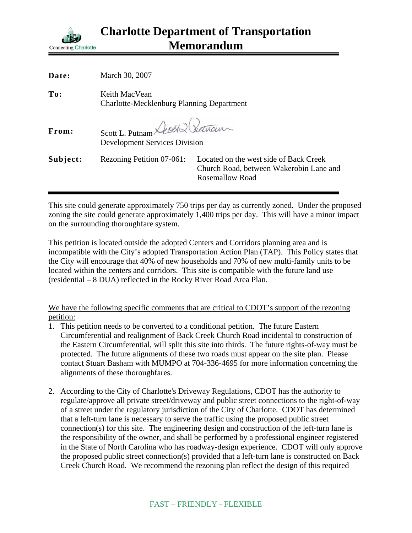

| Date:    | March 30, 2007                                                           |                                                                                                             |
|----------|--------------------------------------------------------------------------|-------------------------------------------------------------------------------------------------------------|
| To:      | Keith MacVean<br><b>Charlotte-Mecklenburg Planning Department</b>        |                                                                                                             |
| From:    | Scott L. Putnam Deoch & Pretrain<br><b>Development Services Division</b> |                                                                                                             |
| Subject: | Rezoning Petition 07-061:                                                | Located on the west side of Back Creek<br>Church Road, between Wakerobin Lane and<br><b>Rosemallow Road</b> |

This site could generate approximately 750 trips per day as currently zoned. Under the proposed zoning the site could generate approximately 1,400 trips per day. This will have a minor impact on the surrounding thoroughfare system.

This petition is located outside the adopted Centers and Corridors planning area and is incompatible with the City's adopted Transportation Action Plan (TAP). This Policy states that the City will encourage that 40% of new households and 70% of new multi-family units to be located within the centers and corridors. This site is compatible with the future land use (residential – 8 DUA) reflected in the Rocky River Road Area Plan.

We have the following specific comments that are critical to CDOT's support of the rezoning petition:

- 1. This petition needs to be converted to a conditional petition. The future Eastern Circumferential and realignment of Back Creek Church Road incidental to construction of the Eastern Circumferential, will split this site into thirds. The future rights-of-way must be protected. The future alignments of these two roads must appear on the site plan. Please contact Stuart Basham with MUMPO at 704-336-4695 for more information concerning the alignments of these thoroughfares.
- 2. According to the City of Charlotte's Driveway Regulations, CDOT has the authority to regulate/approve all private street/driveway and public street connections to the right-of-way of a street under the regulatory jurisdiction of the City of Charlotte. CDOT has determined that a left-turn lane is necessary to serve the traffic using the proposed public street connection(s) for this site. The engineering design and construction of the left-turn lane is the responsibility of the owner, and shall be performed by a professional engineer registered in the State of North Carolina who has roadway-design experience. CDOT will only approve the proposed public street connection(s) provided that a left-turn lane is constructed on Back Creek Church Road. We recommend the rezoning plan reflect the design of this required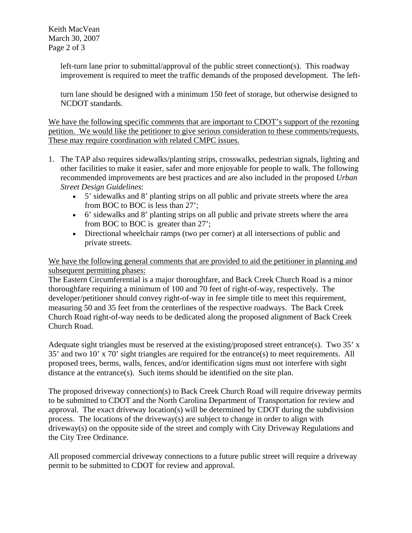Keith MacVean March 30, 2007 Page 2 of 3

> left-turn lane prior to submittal/approval of the public street connection(s). This roadway improvement is required to meet the traffic demands of the proposed development. The left-

> turn lane should be designed with a minimum 150 feet of storage, but otherwise designed to NCDOT standards.

We have the following specific comments that are important to CDOT's support of the rezoning petition. We would like the petitioner to give serious consideration to these comments/requests. These may require coordination with related CMPC issues.

- 1. The TAP also requires sidewalks/planting strips, crosswalks, pedestrian signals, lighting and other facilities to make it easier, safer and more enjoyable for people to walk. The following recommended improvements are best practices and are also included in the proposed *Urban Street Design Guidelines*:
	- 5' sidewalks and 8' planting strips on all public and private streets where the area from BOC to BOC is less than 27';
	- 6' sidewalks and 8' planting strips on all public and private streets where the area from BOC to BOC is greater than 27';
	- Directional wheelchair ramps (two per corner) at all intersections of public and private streets.

We have the following general comments that are provided to aid the petitioner in planning and subsequent permitting phases:

The Eastern Circumferential is a major thoroughfare, and Back Creek Church Road is a minor thoroughfare requiring a minimum of 100 and 70 feet of right-of-way, respectively. The developer/petitioner should convey right-of-way in fee simple title to meet this requirement, measuring 50 and 35 feet from the centerlines of the respective roadways. The Back Creek Church Road right-of-way needs to be dedicated along the proposed alignment of Back Creek Church Road.

Adequate sight triangles must be reserved at the existing/proposed street entrance(s). Two 35' x 35' and two 10' x 70' sight triangles are required for the entrance(s) to meet requirements. All proposed trees, berms, walls, fences, and/or identification signs must not interfere with sight distance at the entrance(s). Such items should be identified on the site plan.

The proposed driveway connection(s) to Back Creek Church Road will require driveway permits to be submitted to CDOT and the North Carolina Department of Transportation for review and approval. The exact driveway location(s) will be determined by CDOT during the subdivision process. The locations of the driveway(s) are subject to change in order to align with driveway(s) on the opposite side of the street and comply with City Driveway Regulations and the City Tree Ordinance.

All proposed commercial driveway connections to a future public street will require a driveway permit to be submitted to CDOT for review and approval.